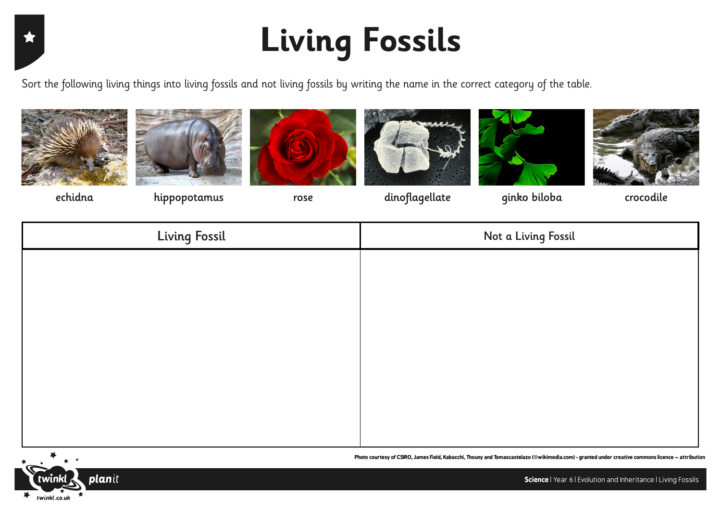## **Living Fossils**

Sort the following living things into living fossils and not living fossils by writing the name in the correct category of the table.



文











echidna hippopotamus rose dinoflagellate ginko biloba crocodile

| <b>Living Fossil</b> | Not a Living Fossil |
|----------------------|---------------------|
|                      |                     |
|                      |                     |
|                      |                     |
|                      |                     |
|                      |                     |
|                      |                     |
|                      |                     |
|                      |                     |



**Photo courtesy of CSIRO, James Field, Kabacchi, Thouny and Tomascastelazo (@wikimedia.com) - granted under creative commons licence – attribution**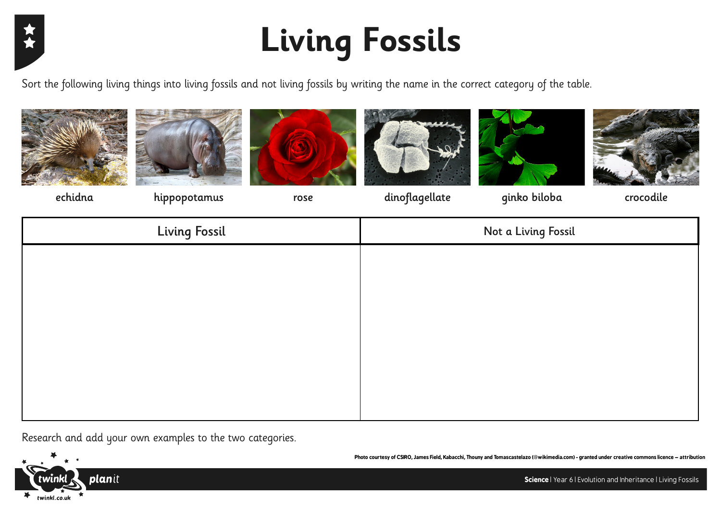

## **Living Fossils**

Sort the following living things into living fossils and not living fossils by writing the name in the correct category of the table.













echidna hippopotamus rose dinoflagellate ginko biloba crocodile

| <b>Living Fossil</b> | Not a Living Fossil |
|----------------------|---------------------|
|                      |                     |
|                      |                     |
|                      |                     |
|                      |                     |
|                      |                     |
|                      |                     |
|                      |                     |

Research and add your own examples to the two categories.



**Science** | Year 6 | Evolution and Inheritance | Living Fossils